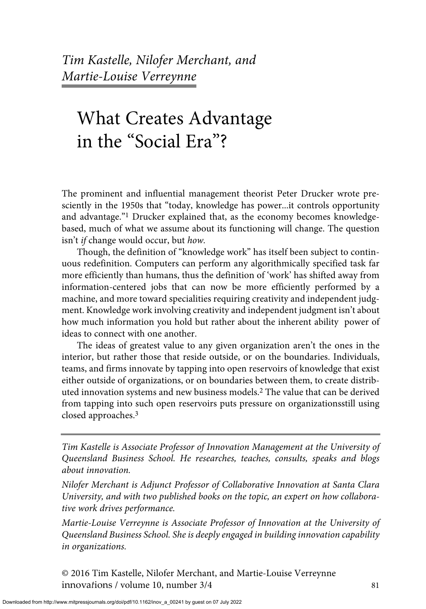*Tim Kastelle, Nilofer Merchant, and Martie-Louise Verreynne*

# What Creates Advantage in the "Social Era"?

The prominent and influential management theorist Peter Drucker wrote presciently in the 1950s that "today, knowledge has power...it controls opportunity and advantage."1 Drucker explained that, as the economy becomes knowledgebased, much of what we assume about its functioning will change. The question isn't *if* change would occur, but *how.* 

Though, the definition of "knowledge work" has itself been subject to continuous redefinition. Computers can perform any algorithmically specified task far more efficiently than humans, thus the definition of 'work' has shifted away from information-centered jobs that can now be more efficiently performed by a machine, and more toward specialities requiring creativity and independent judgment. Knowledge work involving creativity and independent judgment isn't about how much information you hold but rather about the inherent ability power of ideas to connect with one another.

The ideas of greatest value to any given organization aren't the ones in the interior, but rather those that reside outside, or on the boundaries. Individuals, teams, and firms innovate by tapping into open reservoirs of knowledge that exist either outside of organizations, or on boundaries between them, to create distributed innovation systems and new business models.2 The value that can be derived from tapping into such open reservoirs puts pressure on organizationsstill using closed approaches.3

*Tim Kastelle is Associate Professor of Innovation Management at the University of Queensland Business School. He researches, teaches, consults, speaks and blogs about innovation.*

*Nilofer Merchant is Adjunct Professor of Collaborative Innovation at Santa Clara University, and with two published books on the topic, an expert on how collaborative work drives performance.* 

*Martie-Louise Verreynne is Associate Professor of Innovation at the University of Queensland Business School. She is deeply engaged in building innovation capability in organizations.*

© 2016 Tim Kastelle, Nilofer Merchant, and Martie-Louise Verreynne innovations / volume 10, number 3/4 81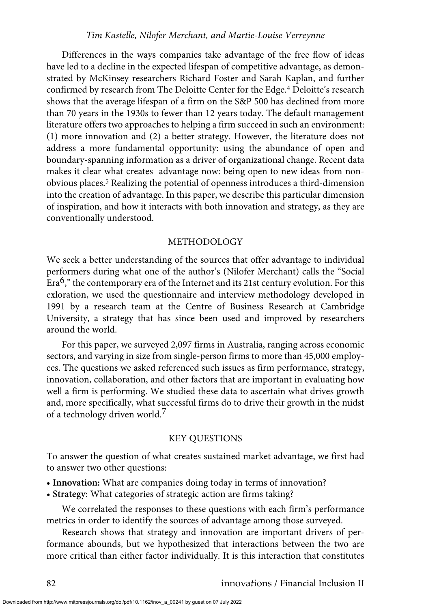#### *Tim Kastelle, Nilofer Merchant, and Martie-Louise Verreynne*

Differences in the ways companies take advantage of the free flow of ideas have led to a decline in the expected lifespan of competitive advantage, as demonstrated by McKinsey researchers Richard Foster and Sarah Kaplan, and further confirmed by research from The Deloitte Center for the Edge.4 Deloitte's research shows that the average lifespan of a firm on the S&P 500 has declined from more than 70 years in the 1930s to fewer than 12 years today. The default management literature offers two approaches to helping a firm succeed in such an environment: (1) more innovation and (2) a better strategy. However, the literature does not address a more fundamental opportunity: using the abundance of open and boundary-spanning information as a driver of organizational change. Recent data makes it clear what creates advantage now: being open to new ideas from nonobvious places.5 Realizing the potential of openness introduces a third-dimension into the creation of advantage. In this paper, we describe this particular dimension of inspiration, and how it interacts with both innovation and strategy, as they are conventionally understood.

#### METHODOLOGY

We seek a better understanding of the sources that offer advantage to individual performers during what one of the author's (Nilofer Merchant) calls the "Social Era<sup>6</sup>," the contemporary era of the Internet and its 21st century evolution. For this exloration, we used the questionnaire and interview methodology developed in 1991 by a research team at the Centre of Business Research at Cambridge University, a strategy that has since been used and improved by researchers around the world.

For this paper, we surveyed 2,097 firms in Australia, ranging across economic sectors, and varying in size from single-person firms to more than 45,000 employees. The questions we asked referenced such issues as firm performance, strategy, innovation, collaboration, and other factors that are important in evaluating how well a firm is performing. We studied these data to ascertain what drives growth and, more specifically, what successful firms do to drive their growth in the midst of a technology driven world.<sup>7</sup>

#### KEY QUESTIONS

To answer the question of what creates sustained market advantage, we first had to answer two other questions:

- **Innovation:** What are companies doing today in terms of innovation?
- **Strategy:** What categories of strategic action are firms taking?

We correlated the responses to these questions with each firm's performance metrics in order to identify the sources of advantage among those surveyed.

Research shows that strategy and innovation are important drivers of performance abounds, but we hypothesized that interactions between the two are more critical than either factor individually. It is this interaction that constitutes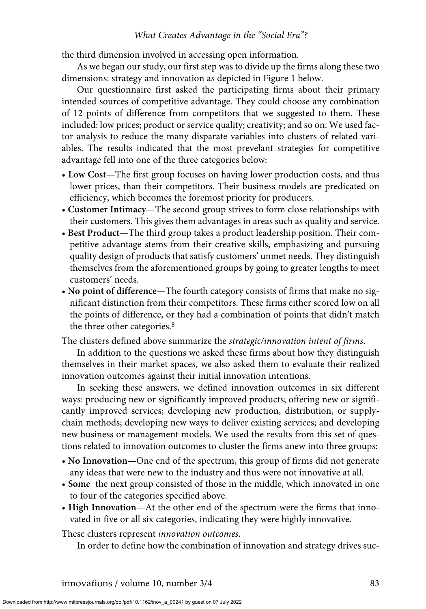the third dimension involved in accessing open information.

As we began our study, our first step was to divide up the firms along these two dimensions: strategy and innovation as depicted in Figure 1 below.

Our questionnaire first asked the participating firms about their primary intended sources of competitive advantage. They could choose any combination of 12 points of difference from competitors that we suggested to them. These included: low prices; product or service quality; creativity; and so on. We used factor analysis to reduce the many disparate variables into clusters of related variables. The results indicated that the most prevelant strategies for competitive advantage fell into one of the three categories below:

- **Low Cost**—The first group focuses on having lower production costs, and thus lower prices, than their competitors. Their business models are predicated on efficiency, which becomes the foremost priority for producers.
- **Customer Intimacy**—The second group strives to form close relationships with their customers. This gives them advantages in areas such as quality and service.
- **Best Product**—The third group takes a product leadership position. Their competitive advantage stems from their creative skills, emphasizing and pursuing quality design of products that satisfy customers' unmet needs. They distinguish themselves from the aforementioned groups by going to greater lengths to meet customers' needs.
- **No point of difference**—The fourth category consists of firms that make no significant distinction from their competitors. These firms either scored low on all the points of difference, or they had a combination of points that didn't match the three other categories.8

The clusters defined above summarize the *strategic/innovation intent of firms*.

In addition to the questions we asked these firms about how they distinguish themselves in their market spaces, we also asked them to evaluate their realized innovation outcomes against their initial innovation intentions.

In seeking these answers, we defined innovation outcomes in six different ways: producing new or significantly improved products; offering new or significantly improved services; developing new production, distribution, or supplychain methods; developing new ways to deliver existing services; and developing new business or management models. We used the results from this set of questions related to innovation outcomes to cluster the firms anew into three groups:

- **No Innovation**—One end of the spectrum, this group of firms did not generate any ideas that were new to the industry and thus were not innovative at all.
- **Some** the next group consisted of those in the middle, which innovated in one to four of the categories specified above.
- **High Innovation**—At the other end of the spectrum were the firms that innovated in five or all six categories, indicating they were highly innovative.

These clusters represent *innovation outcomes*.

In order to define how the combination of innovation and strategy drives suc-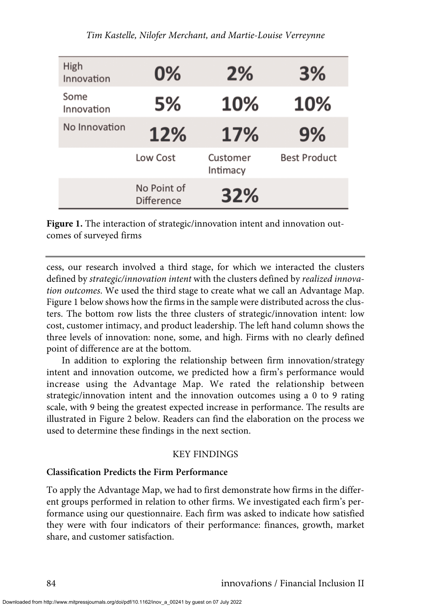| High<br>Innovation | 0%                               | 2%                   | 3%                  |
|--------------------|----------------------------------|----------------------|---------------------|
| Some<br>Innovation | 5%                               | 10%                  | 10%                 |
| No Innovation      | 12%                              | 17%                  | 9%                  |
|                    | Low Cost                         | Customer<br>Intimacy | <b>Best Product</b> |
|                    | No Point of<br><b>Difference</b> | 32%                  |                     |

Figure 1. The interaction of strategic/innovation intent and innovation outcomes of surveyed firms

cess, our research involved a third stage, for which we interacted the clusters defined by *strategic/innovation intent* with the clusters defined by *realized innovation outcomes*. We used the third stage to create what we call an Advantage Map. Figure 1 below shows how the firms in the sample were distributed across the clusters. The bottom row lists the three clusters of strategic/innovation intent: low cost, customer intimacy, and product leadership. The left hand column shows the three levels of innovation: none, some, and high. Firms with no clearly defined point of difference are at the bottom.

In addition to exploring the relationship between firm innovation/strategy intent and innovation outcome, we predicted how a firm's performance would increase using the Advantage Map. We rated the relationship between strategic/innovation intent and the innovation outcomes using a 0 to 9 rating scale, with 9 being the greatest expected increase in performance. The results are illustrated in Figure 2 below. Readers can find the elaboration on the process we used to determine these findings in the next section.

## KEY FINDINGS

# **Classification Predicts the Firm Performance**

To apply the Advantage Map, we had to first demonstrate how firms in the different groups performed in relation to other firms. We investigated each firm's performance using our questionnaire. Each firm was asked to indicate how satisfied they were with four indicators of their performance: finances, growth, market share, and customer satisfaction.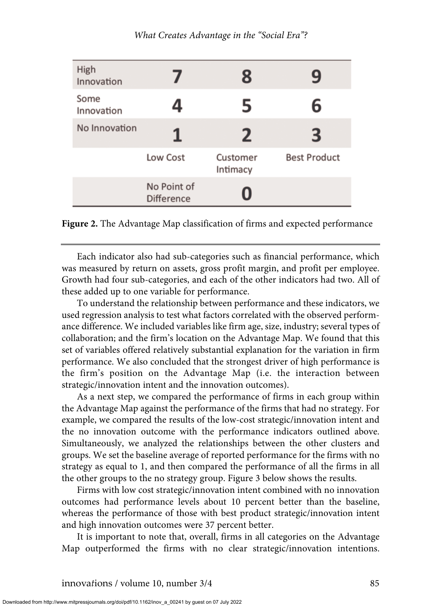| High<br>Innovation |                                  | 8                    | ч                   |
|--------------------|----------------------------------|----------------------|---------------------|
| Some<br>Innovation | 4                                | 5                    | 6                   |
| No Innovation      | 1                                | 2                    | З                   |
|                    | Low Cost                         | Customer<br>Intimacy | <b>Best Product</b> |
|                    | No Point of<br><b>Difference</b> | O                    |                     |

**Figure 2.** The Advantage Map classification of firms and expected performance

Each indicator also had sub-categories such as financial performance, which was measured by return on assets, gross profit margin, and profit per employee. Growth had four sub-categories, and each of the other indicators had two. All of these added up to one variable for performance.

To understand the relationship between performance and these indicators, we used regression analysis to test what factors correlated with the observed performance difference. We included variables like firm age, size, industry; several types of collaboration; and the firm's location on the Advantage Map. We found that this set of variables offered relatively substantial explanation for the variation in firm performance. We also concluded that the strongest driver of high performance is the firm's position on the Advantage Map (i.e. the interaction between strategic/innovation intent and the innovation outcomes).

As a next step, we compared the performance of firms in each group within the Advantage Map against the performance of the firms that had no strategy. For example, we compared the results of the low-cost strategic/innovation intent and the no innovation outcome with the performance indicators outlined above. Simultaneously, we analyzed the relationships between the other clusters and groups. We set the baseline average of reported performance for the firms with no strategy as equal to 1, and then compared the performance of all the firms in all the other groups to the no strategy group. Figure 3 below shows the results.

Firms with low cost strategic/innovation intent combined with no innovation outcomes had performance levels about 10 percent better than the baseline, whereas the performance of those with best product strategic/innovation intent and high innovation outcomes were 37 percent better.

It is important to note that, overall, firms in all categories on the Advantage Map outperformed the firms with no clear strategic/innovation intentions.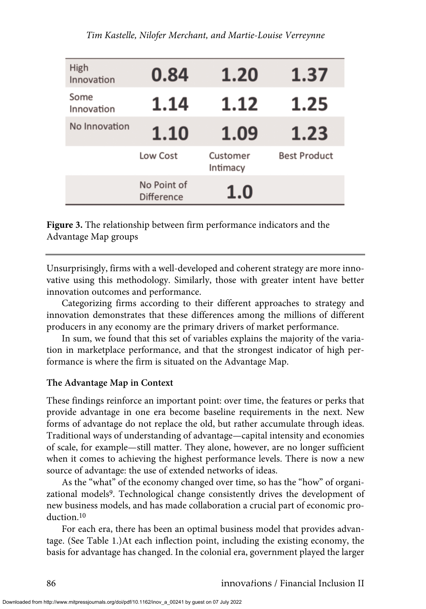| High<br>Innovation | 0.84                             | 1.20                 | 1.37                |
|--------------------|----------------------------------|----------------------|---------------------|
| Some<br>Innovation | 1.14                             | 1.12                 | 1.25                |
| No Innovation      | 1.10                             | 1.09                 | 1.23                |
|                    | Low Cost                         | Customer<br>Intimacy | <b>Best Product</b> |
|                    | No Point of<br><b>Difference</b> | 1.0                  |                     |

**Figure 3.** The relationship between firm performance indicators and the Advantage Map groups

Unsurprisingly, firms with a well-developed and coherent strategy are more innovative using this methodology. Similarly, those with greater intent have better innovation outcomes and performance.

Categorizing firms according to their different approaches to strategy and innovation demonstrates that these differences among the millions of different producers in any economy are the primary drivers of market performance.

In sum, we found that this set of variables explains the majority of the variation in marketplace performance, and that the strongest indicator of high performance is where the firm is situated on the Advantage Map.

## **The Advantage Map in Context**

These findings reinforce an important point: over time, the features or perks that provide advantage in one era become baseline requirements in the next. New forms of advantage do not replace the old, but rather accumulate through ideas. Traditional ways of understanding of advantage—capital intensity and economies of scale, for example—still matter. They alone, however, are no longer sufficient when it comes to achieving the highest performance levels. There is now a new source of advantage: the use of extended networks of ideas.

As the "what" of the economy changed over time, so has the "how" of organizational models<sup>9</sup>. Technological change consistently drives the development of new business models, and has made collaboration a crucial part of economic production.10

For each era, there has been an optimal business model that provides advantage. (See Table 1.)At each inflection point, including the existing economy, the basis for advantage has changed. In the colonial era, government played the larger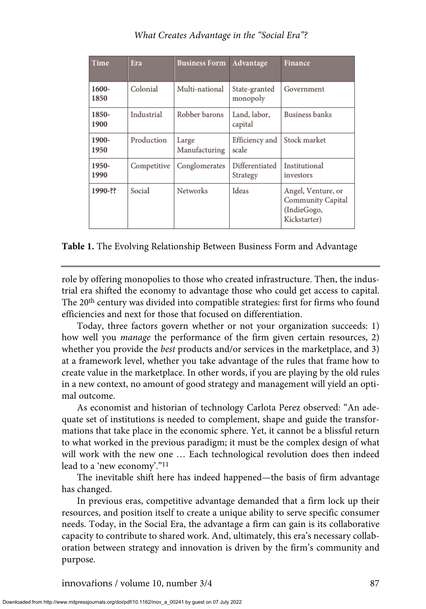| Time          | Era         | <b>Business Form</b>   | Advantage                  | <b>Finance</b>                                                         |
|---------------|-------------|------------------------|----------------------------|------------------------------------------------------------------------|
| 1600-<br>1850 | Colonial    | Multi-national         | State-granted<br>monopoly  | Government                                                             |
| 1850-<br>1900 | Industrial  | Robber barons          | Land, labor,<br>capital    | Business banks                                                         |
| 1900-<br>1950 | Production  | Large<br>Manufacturing | Efficiency and<br>scale    | Stock market                                                           |
| 1950-<br>1990 | Competitive | Conglomerates          | Differentiated<br>Strategy | Institutional<br>investors                                             |
| 1990-??       | Social      | Networks               | Ideas                      | Angel, Venture, or<br>Community Capital<br>(IndieGogo,<br>Kickstarter) |

**Table 1.** The Evolving Relationship Between Business Form and Advantage

role by offering monopolies to those who created infrastructure. Then, the industrial era shifted the economy to advantage those who could get access to capital. The 20th century was divided into compatible strategies: first for firms who found efficiencies and next for those that focused on differentiation.

Today, three factors govern whether or not your organization succeeds: 1) how well you *manage* the performance of the firm given certain resources, 2) whether you provide the *best* products and/or services in the marketplace, and 3) at a framework level, whether you take advantage of the rules that frame how to create value in the marketplace. In other words, if you are playing by the old rules in a new context, no amount of good strategy and management will yield an optimal outcome.

As economist and historian of technology Carlota Perez observed: "An adequate set of institutions is needed to complement, shape and guide the transformations that take place in the economic sphere. Yet, it cannot be a blissful return to what worked in the previous paradigm; it must be the complex design of what will work with the new one … Each technological revolution does then indeed lead to a 'new economy'."11

The inevitable shift here has indeed happened—the basis of firm advantage has changed.

In previous eras, competitive advantage demanded that a firm lock up their resources, and position itself to create a unique ability to serve specific consumer needs. Today, in the Social Era, the advantage a firm can gain is its collaborative capacity to contribute to shared work. And, ultimately, this era's necessary collaboration between strategy and innovation is driven by the firm's community and purpose.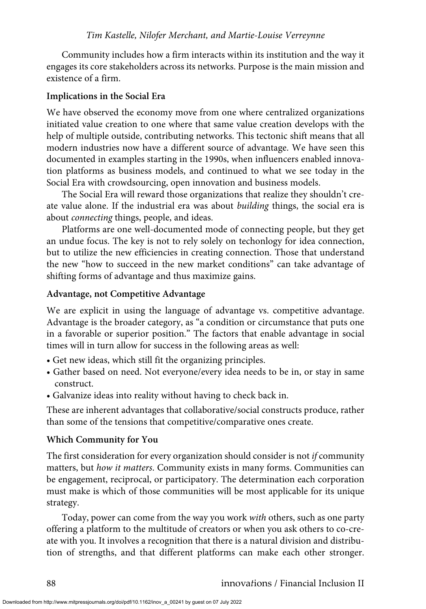#### *Tim Kastelle, Nilofer Merchant, and Martie-Louise Verreynne*

Community includes how a firm interacts within its institution and the way it engages its core stakeholders across its networks. Purpose is the main mission and existence of a firm.

#### **Implications in the Social Era**

We have observed the economy move from one where centralized organizations initiated value creation to one where that same value creation develops with the help of multiple outside, contributing networks. This tectonic shift means that all modern industries now have a different source of advantage. We have seen this documented in examples starting in the 1990s, when influencers enabled innovation platforms as business models, and continued to what we see today in the Social Era with crowdsourcing, open innovation and business models.

The Social Era will reward those organizations that realize they shouldn't create value alone. If the industrial era was about *building* things, the social era is about *connecting* things, people, and ideas.

Platforms are one well-documented mode of connecting people, but they get an undue focus. The key is not to rely solely on techonlogy for idea connection, but to utilize the new efficiencies in creating connection. Those that understand the new "how to succeed in the new market conditions" can take advantage of shifting forms of advantage and thus maximize gains.

#### **Advantage, not Competitive Advantage**

We are explicit in using the language of advantage vs. competitive advantage. Advantage is the broader category, as "a condition or circumstance that puts one in a favorable or superior position." The factors that enable advantage in social times will in turn allow for success in the following areas as well:

- Get new ideas, which still fit the organizing principles.
- Gather based on need. Not everyone/every idea needs to be in, or stay in same construct.
- Galvanize ideas into reality without having to check back in.

These are inherent advantages that collaborative/social constructs produce, rather than some of the tensions that competitive/comparative ones create.

#### **Which Community for You**

The first consideration for every organization should consider is not *if* community matters, but *how it matters*. Community exists in many forms. Communities can be engagement, reciprocal, or participatory. The determination each corporation must make is which of those communities will be most applicable for its unique strategy.

Today, power can come from the way you work *with* others, such as one party offering a platform to the multitude of creators or when you ask others to co-create with you. It involves a recognition that there is a natural division and distribution of strengths, and that different platforms can make each other stronger.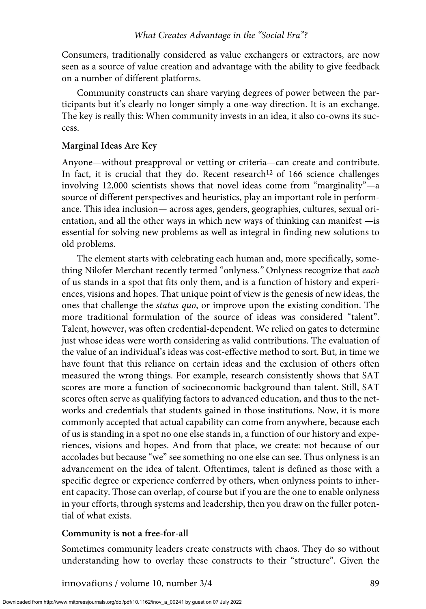Consumers, traditionally considered as value exchangers or extractors, are now seen as a source of value creation and advantage with the ability to give feedback on a number of different platforms.

Community constructs can share varying degrees of power between the participants but it's clearly no longer simply a one-way direction. It is an exchange. The key is really this: When community invests in an idea, it also co-owns its success.

## **Marginal Ideas Are Key**

Anyone—without preapproval or vetting or criteria—can create and contribute. In fact, it is crucial that they do. Recent research<sup>12</sup> of 166 science challenges involving 12,000 scientists shows that novel ideas come from "marginality"—a source of different perspectives and heuristics, play an important role in performance. This idea inclusion— across ages, genders, geographies, cultures, sexual orientation, and all the other ways in which new ways of thinking can manifest —is essential for solving new problems as well as integral in finding new solutions to old problems.

The element starts with celebrating each human and, more specifically, something Nilofer Merchant recently termed "onlyness.*"* Onlyness recognize that *each* of us stands in a spot that fits only them, and is a function of history and experiences, visions and hopes. That unique point of view is the genesis of new ideas, the ones that challenge the *status quo*, or improve upon the existing condition. The more traditional formulation of the source of ideas was considered "talent". Talent, however, was often credential-dependent. We relied on gates to determine just whose ideas were worth considering as valid contributions. The evaluation of the value of an individual's ideas was cost-effective method to sort. But, in time we have fount that this reliance on certain ideas and the exclusion of others often measured the wrong things. For example, research consistently shows that SAT scores are more a function of socioeconomic background than talent. Still, SAT scores often serve as qualifying factors to advanced education, and thus to the networks and credentials that students gained in those institutions. Now, it is more commonly accepted that actual capability can come from anywhere, because each of us is standing in a spot no one else stands in, a function of our history and experiences, visions and hopes. And from that place, we create: not because of our accolades but because "we" see something no one else can see. Thus onlyness is an advancement on the idea of talent. Oftentimes, talent is defined as those with a specific degree or experience conferred by others, when onlyness points to inherent capacity. Those can overlap, of course but if you are the one to enable onlyness in your efforts, through systems and leadership, then you draw on the fuller potential of what exists.

# **Community is not a free-for-all**

Sometimes community leaders create constructs with chaos. They do so without understanding how to overlay these constructs to their "structure". Given the

innova*t*ions / volume 10, number 3/4 89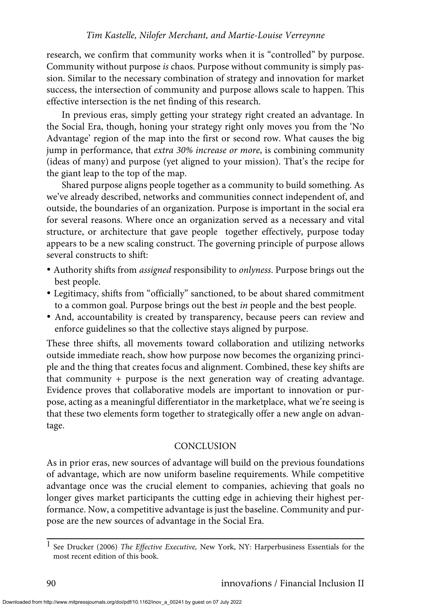research, we confirm that community works when it is "controlled" by purpose. Community without purpose *is* chaos. Purpose without community is simply passion. Similar to the necessary combination of strategy and innovation for market success, the intersection of community and purpose allows scale to happen. This effective intersection is the net finding of this research.

In previous eras, simply getting your strategy right created an advantage. In the Social Era, though, honing your strategy right only moves you from the 'No Advantage' region of the map into the first or second row. What causes the big jump in performance, that *extra 30% increase or more*, is combining community (ideas of many) and purpose (yet aligned to your mission). That's the recipe for the giant leap to the top of the map.

Shared purpose aligns people together as a community to build something. As we've already described, networks and communities connect independent of, and outside, the boundaries of an organization. Purpose is important in the social era for several reasons. Where once an organization served as a necessary and vital structure, or architecture that gave people together effectively, purpose today appears to be a new scaling construct. The governing principle of purpose allows several constructs to shift:

- -Authority shifts from *assigned* responsibility to *onlyness*. Purpose brings out the best people.
- -Legitimacy, shifts from "officially" sanctioned, to be about shared commitment to a common goal. Purpose brings out the best *in* people and the best people.
- -And, accountability is created by transparency, because peers can review and enforce guidelines so that the collective stays aligned by purpose.

These three shifts, all movements toward collaboration and utilizing networks outside immediate reach, show how purpose now becomes the organizing principle and the thing that creates focus and alignment. Combined, these key shifts are that community + purpose is the next generation way of creating advantage. Evidence proves that collaborative models are important to innovation or purpose, acting as a meaningful differentiator in the marketplace, what we're seeing is that these two elements form together to strategically offer a new angle on advantage.

## **CONCLUSION**

As in prior eras, new sources of advantage will build on the previous foundations of advantage, which are now uniform baseline requirements. While competitive advantage once was the crucial element to companies, achieving that goals no longer gives market participants the cutting edge in achieving their highest performance. Now, a competitive advantage is just the baseline. Community and purpose are the new sources of advantage in the Social Era.

<sup>1</sup> See Drucker (2006) *The Effective Executive,* New York, NY: Harperbusiness Essentials for the most recent edition of this book.